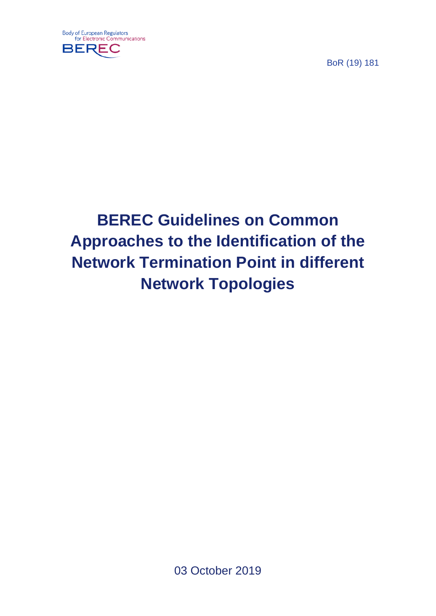

BoR (19) 181

# **BEREC Guidelines on Common Approaches to the Identification of the Network Termination Point in different Network Topologies**

03 October 2019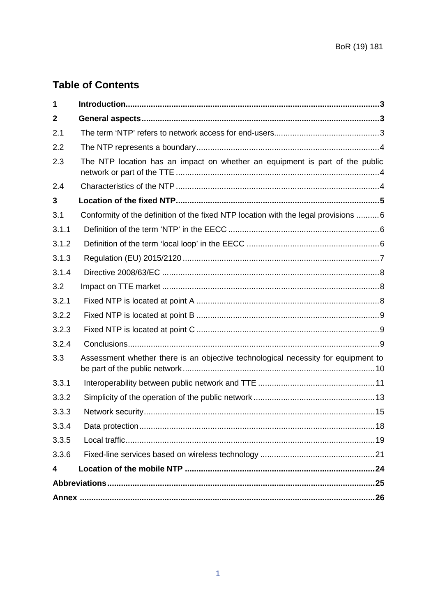# **Table of Contents**

| 1              |                                                                                     |  |
|----------------|-------------------------------------------------------------------------------------|--|
| $\overline{2}$ |                                                                                     |  |
| 2.1            |                                                                                     |  |
| 2.2            |                                                                                     |  |
| 2.3            | The NTP location has an impact on whether an equipment is part of the public        |  |
| 2.4            |                                                                                     |  |
| 3              |                                                                                     |  |
| 3.1            | Conformity of the definition of the fixed NTP location with the legal provisions  6 |  |
| 3.1.1          |                                                                                     |  |
| 3.1.2          |                                                                                     |  |
| 3.1.3          |                                                                                     |  |
| 3.1.4          |                                                                                     |  |
| 3.2            |                                                                                     |  |
| 3.2.1          |                                                                                     |  |
| 3.2.2          |                                                                                     |  |
| 3.2.3          |                                                                                     |  |
| 3.2.4          |                                                                                     |  |
| 3.3            | Assessment whether there is an objective technological necessity for equipment to   |  |
| 3.3.1          |                                                                                     |  |
| 3.3.2          |                                                                                     |  |
| 3.3.3          |                                                                                     |  |
| 3.3.4          | 18                                                                                  |  |
| 3.3.5          |                                                                                     |  |
| 3.3.6          |                                                                                     |  |
| 4              |                                                                                     |  |
|                |                                                                                     |  |
|                |                                                                                     |  |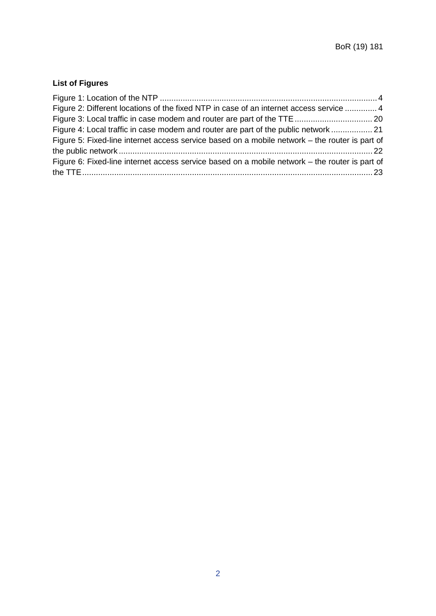# **List of Figures**

| Figure 2: Different locations of the fixed NTP in case of an internet access service  4        |  |
|------------------------------------------------------------------------------------------------|--|
|                                                                                                |  |
| Figure 4: Local traffic in case modem and router are part of the public network  21            |  |
| Figure 5: Fixed-line internet access service based on a mobile network – the router is part of |  |
|                                                                                                |  |
| Figure 6: Fixed-line internet access service based on a mobile network – the router is part of |  |
|                                                                                                |  |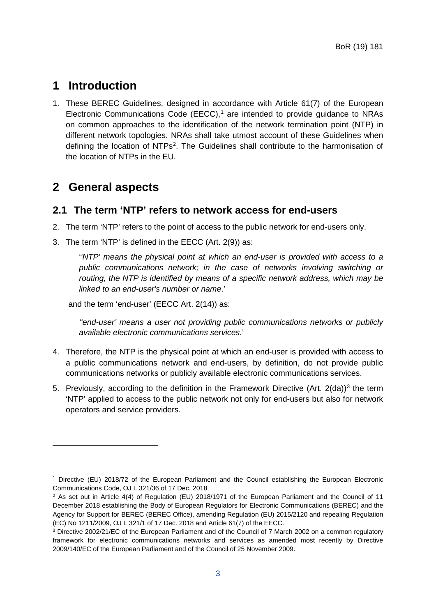# <span id="page-3-0"></span>**1 Introduction**

1. These BEREC Guidelines, designed in accordance with Article 61(7) of the European Electronic Communications Code (EECC), [1](#page-3-3) are intended to provide guidance to NRAs on common approaches to the identification of the network termination point (NTP) in different network topologies. NRAs shall take utmost account of these Guidelines when defining the location of NTPs<sup>2</sup>. The Guidelines shall contribute to the harmonisation of the location of NTPs in the EU.

# <span id="page-3-1"></span>**2 General aspects**

-

# <span id="page-3-2"></span>**2.1 The term 'NTP' refers to network access for end-users**

- 2. The term 'NTP' refers to the point of access to the public network for end-users only.
- 3. The term 'NTP' is defined in the EECC (Art. 2(9)) as:

'*'NTP' means the physical point at which an end-user is provided with access to a*  public communications network; in the case of networks involving switching or *routing, the NTP is identified by means of a specific network address, which may be linked to an end-user's number or name*.'

and the term 'end-user' (EECC Art. 2(14)) as:

*''end-user' means a user not providing public communications networks or publicly available electronic communications services*.'

- 4. Therefore, the NTP is the physical point at which an end-user is provided with access to a public communications network and end-users, by definition, do not provide public communications networks or publicly available electronic communications services.
- 5. Previously, according to the definition in the Framework Directive (Art.  $2(da))^3$  $2(da))^3$  the term 'NTP' applied to access to the public network not only for end-users but also for network operators and service providers.

<span id="page-3-3"></span><sup>1</sup> Directive (EU) 2018/72 of the European Parliament and the Council establishing the European Electronic Communications Code, OJ L 321/36 of 17 Dec. 2018

<span id="page-3-4"></span> $2$  As set out in Article 4(4) of Regulation (EU) 2018/1971 of the European Parliament and the Council of 11 December 2018 establishing the Body of European Regulators for Electronic Communications (BEREC) and the Agency for Support for BEREC (BEREC Office), amending Regulation (EU) 2015/2120 and repealing Regulation (EC) No 1211/2009, OJ L 321/1 of 17 Dec. 2018 and Article 61(7) of the EECC.

<span id="page-3-5"></span><sup>3</sup> Directive 2002/21/EC of the European Parliament and of the Council of 7 March 2002 on a common regulatory framework for electronic communications networks and services as amended most recently by Directive 2009/140/EC of the European Parliament and of the Council of 25 November 2009.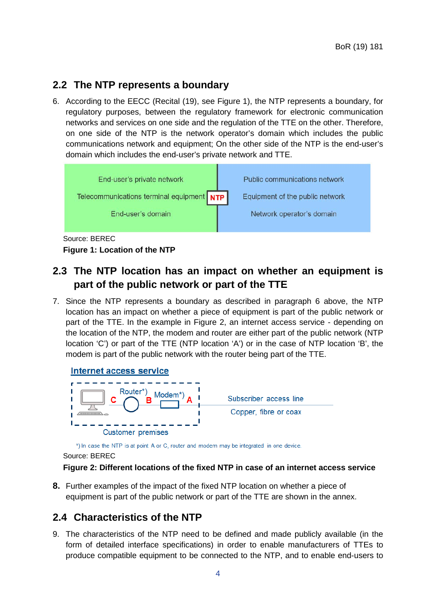# <span id="page-4-0"></span>**2.2 The NTP represents a boundary**

<span id="page-4-5"></span>6. According to the EECC (Recital (19), see [Figure 1\)](#page-4-3), the NTP represents a boundary, for regulatory purposes, between the regulatory framework for electronic communication networks and services on one side and the regulation of the TTE on the other. Therefore, on one side of the NTP is the network operator's domain which includes the public communications network and equipment; On the other side of the NTP is the end-user's domain which includes the end-user's private network and TTE.



# <span id="page-4-3"></span>**Figure 1: Location of the NTP**

# <span id="page-4-1"></span>**2.3 The NTP location has an impact on whether an equipment is part of the public network or part of the TTE**

<span id="page-4-6"></span>7. Since the NTP represents a boundary as described in paragraph [6](#page-4-5) above, the NTP location has an impact on whether a piece of equipment is part of the public network or part of the TTE. In the example in [Figure 2,](#page-4-4) an internet access service - depending on the location of the NTP, the modem and router are either part of the public network (NTP location 'C') or part of the TTE (NTP location 'A') or in the case of NTP location 'B', the modem is part of the public network with the router being part of the TTE.



\*) In case the NTP is at point A or C, router and modem may be integrated in one device.

Source: BEREC

### <span id="page-4-4"></span>**Figure 2: Different locations of the fixed NTP in case of an internet access service**

<span id="page-4-7"></span>**8.** Further examples of the impact of the fixed NTP location on whether a piece of equipment is part of the public network or part of the TTE are shown in the annex.

# <span id="page-4-2"></span>**2.4 Characteristics of the NTP**

9. The characteristics of the NTP need to be defined and made publicly available (in the form of detailed interface specifications) in order to enable manufacturers of TTEs to produce compatible equipment to be connected to the NTP, and to enable end-users to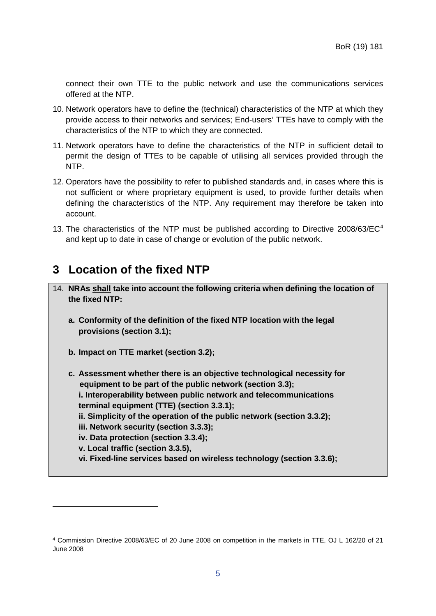connect their own TTE to the public network and use the communications services offered at the NTP.

- 10. Network operators have to define the (technical) characteristics of the NTP at which they provide access to their networks and services; End-users' TTEs have to comply with the characteristics of the NTP to which they are connected.
- 11. Network operators have to define the characteristics of the NTP in sufficient detail to permit the design of TTEs to be capable of utilising all services provided through the NTP.
- <span id="page-5-3"></span>12. Operators have the possibility to refer to published standards and, in cases where this is not sufficient or where proprietary equipment is used, to provide further details when defining the characteristics of the NTP. Any requirement may therefore be taken into account.
- <span id="page-5-2"></span>13. The characteristics of the NTP must be published according to Directive  $2008/63/EC<sup>4</sup>$ and kept up to date in case of change or evolution of the public network.

# <span id="page-5-0"></span>**3 Location of the fixed NTP**

- 14. **NRAs shall take into account the following criteria when defining the location of the fixed NTP:**
	- **a. Conformity of the definition of the fixed NTP location with the legal provisions (section [3.1\)](#page-6-0);**
	- **b. Impact on TTE market (section [3.2\)](#page-8-1);**

-

**c. Assessment whether there is an objective technological necessity for equipment to be part of the public network (section [3.3\)](#page-10-0); i. Interoperability between public network and telecommunications terminal equipment (TTE) (section [3.3.1\)](#page-11-0); ii. Simplicity of the operation of the public network (section [3.3.2\)](#page-13-0); iii. Network security (section [3.3.3\)](#page-15-0); iv. Data protection (section [3.3.4\)](#page-18-0); v. Local traffic (section [3.3.5\)](#page-19-0), vi. Fixed-line services based on wireless technology (section [3.3.6\)](#page-21-0);**

<span id="page-5-1"></span><sup>4</sup> Commission Directive 2008/63/EC of 20 June 2008 on competition in the markets in TTE, OJ L 162/20 of 21 June 2008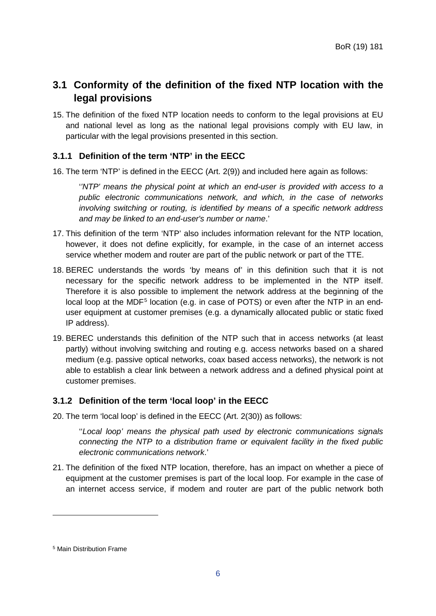# <span id="page-6-0"></span>**3.1 Conformity of the definition of the fixed NTP location with the legal provisions**

15. The definition of the fixed NTP location needs to conform to the legal provisions at EU and national level as long as the national legal provisions comply with EU law, in particular with the legal provisions presented in this section.

# <span id="page-6-1"></span>**3.1.1 Definition of the term 'NTP' in the EECC**

<span id="page-6-4"></span>16. The term 'NTP' is defined in the EECC (Art. 2(9)) and included here again as follows:

'*'NTP' means the physical point at which an end-user is provided with access to a public electronic communications network, and which, in the case of networks involving switching or routing, is identified by means of a specific network address and may be linked to an end-user's number or name*.'

- 17. This definition of the term 'NTP' also includes information relevant for the NTP location, however, it does not define explicitly, for example, in the case of an internet access service whether modem and router are part of the public network or part of the TTE.
- 18. BEREC understands the words 'by means of' in this definition such that it is not necessary for the specific network address to be implemented in the NTP itself. Therefore it is also possible to implement the network address at the beginning of the local loop at the MDF<sup>[5](#page-6-3)</sup> location (e.g. in case of POTS) or even after the NTP in an enduser equipment at customer premises (e.g. a dynamically allocated public or static fixed IP address).
- 19. BEREC understands this definition of the NTP such that in access networks (at least partly) without involving switching and routing e.g. access networks based on a shared medium (e.g. passive optical networks, coax based access networks), the network is not able to establish a clear link between a network address and a defined physical point at customer premises.

# <span id="page-6-2"></span>**3.1.2 Definition of the term 'local loop' in the EECC**

20. The term 'local loop' is defined in the EECC (Art. 2(30)) as follows:

''*Local loop' means the physical path used by electronic communications signals connecting the NTP to a distribution frame or equivalent facility in the fixed public electronic communications network*.'

21. The definition of the fixed NTP location, therefore, has an impact on whether a piece of equipment at the customer premises is part of the local loop. For example in the case of an internet access service, if modem and router are part of the public network both

<span id="page-6-3"></span><sup>5</sup> Main Distribution Frame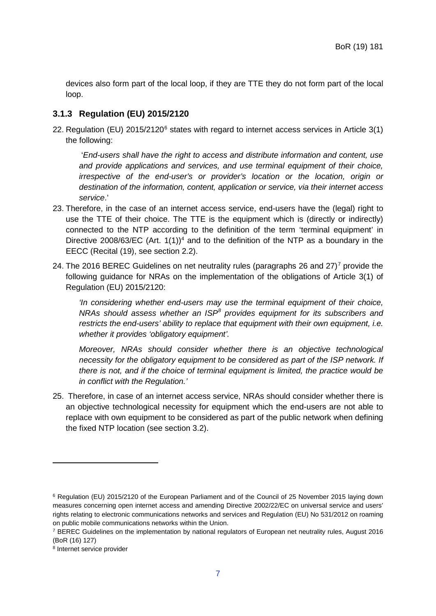devices also form part of the local loop, if they are TTE they do not form part of the local loop.

### <span id="page-7-0"></span>**3.1.3 Regulation (EU) 2015/2120**

<span id="page-7-4"></span>22. Regulation (EU) 2015/2120<sup>[6](#page-7-1)</sup> states with regard to internet access services in Article 3(1) the following:

'*End-users shall have the right to access and distribute information and content, use and provide applications and services, and use terminal equipment of their choice, irrespective of the end-user's or provider's location or the location, origin or destination of the information, content, application or service, via their internet access service*.'

- 23. Therefore, in the case of an internet access service, end-users have the (legal) right to use the TTE of their choice. The TTE is the equipment which is (directly or indirectly) connected to the NTP according to the definition of the term 'terminal equipment' in Directive 2008/63/EC (Art.  $1(1)$  $1(1)$ )<sup>4</sup> and to the definition of the NTP as a boundary in the EECC (Recital (19), see section [2.2\)](#page-4-0).
- <span id="page-7-5"></span>24. The 2016 BEREC Guidelines on net neutrality rules (paragraphs 26 and  $27$  $27$ <sup>7</sup> provide the following guidance for NRAs on the implementation of the obligations of Article 3(1) of Regulation (EU) 2015/2120:

*'In considering whether end-users may use the terminal equipment of their choice, NRAs should assess whether an ISP[8](#page-7-3) provides equipment for its subscribers and restricts the end-users' ability to replace that equipment with their own equipment, i.e. whether it provides 'obligatory equipment'.*

*Moreover, NRAs should consider whether there is an objective technological necessity for the obligatory equipment to be considered as part of the ISP network. If there is not, and if the choice of terminal equipment is limited, the practice would be in conflict with the Regulation.'*

25. Therefore, in case of an internet access service, NRAs should consider whether there is an objective technological necessity for equipment which the end-users are not able to replace with own equipment to be considered as part of the public network when defining the fixed NTP location (see section [3.2\)](#page-8-1).

<span id="page-7-1"></span><sup>6</sup> Regulation (EU) 2015/2120 of the European Parliament and of the Council of 25 November 2015 laying down measures concerning open internet access and amending Directive 2002/22/EC on universal service and users' rights relating to electronic communications networks and services and Regulation (EU) No 531/2012 on roaming on public mobile communications networks within the Union.

<span id="page-7-2"></span><sup>7</sup> BEREC Guidelines on the implementation by national regulators of European net neutrality rules, August 2016 (BoR (16) 127)

<span id="page-7-3"></span><sup>8</sup> Internet service provider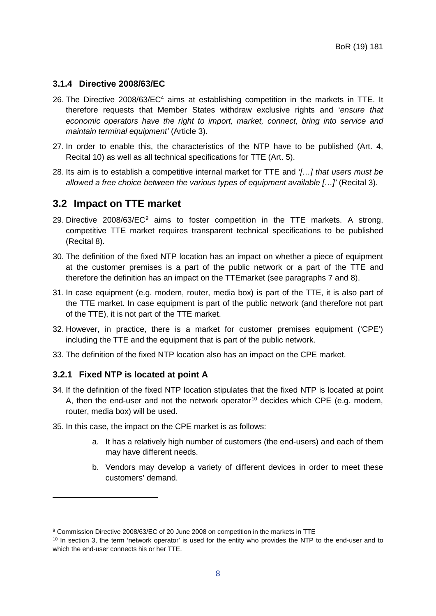# <span id="page-8-0"></span>**3.1.4 Directive 2008/63/EC**

- 26. The Directive 2008/63/EC<sup>4</sup> aims at establishing competition in the markets in TTE. It therefore requests that Member States withdraw exclusive rights and '*ensure that economic operators have the right to import, market, connect, bring into service and maintain terminal equipment'* (Article 3).
- 27. In order to enable this, the characteristics of the NTP have to be published (Art. 4, Recital 10) as well as all technical specifications for TTE (Art. 5).
- <span id="page-8-7"></span>28. Its aim is to establish a competitive internal market for TTE and '*[…] that users must be allowed a free choice between the various types of equipment available […]'* (Recital 3).

# <span id="page-8-1"></span>**3.2 Impact on TTE market**

- 2[9](#page-8-3). Directive 2008/63/EC<sup>9</sup> aims to foster competition in the TTE markets. A strong, competitive TTE market requires transparent technical specifications to be published (Recital 8).
- 30. The definition of the fixed NTP location has an impact on whether a piece of equipment at the customer premises is a part of the public network or a part of the TTE and therefore the definition has an impact on the TTEmarket (see paragraphs [7](#page-4-6) and [8\)](#page-4-7).
- 31. In case equipment (e.g. modem, router, media box) is part of the TTE, it is also part of the TTE market. In case equipment is part of the public network (and therefore not part of the TTE), it is not part of the TTE market.
- 32. However, in practice, there is a market for customer premises equipment ('CPE') including the TTE and the equipment that is part of the public network.
- 33. The definition of the fixed NTP location also has an impact on the CPE market.

### <span id="page-8-2"></span>**3.2.1 Fixed NTP is located at point A**

- <span id="page-8-6"></span>34. If the definition of the fixed NTP location stipulates that the fixed NTP is located at point A, then the end-user and not the network operator<sup>[10](#page-8-4)</sup> decides which CPE (e.g. modem, router, media box) will be used.
- <span id="page-8-5"></span>35. In this case, the impact on the CPE market is as follows:
	- a. It has a relatively high number of customers (the end-users) and each of them may have different needs.
	- b. Vendors may develop a variety of different devices in order to meet these customers' demand.

<span id="page-8-3"></span><sup>9</sup> Commission Directive 2008/63/EC of 20 June 2008 on competition in the markets in TTE

<span id="page-8-4"></span><sup>&</sup>lt;sup>10</sup> In section [3,](#page-5-0) the term 'network operator' is used for the entity who provides the NTP to the end-user and to which the end-user connects his or her TTE.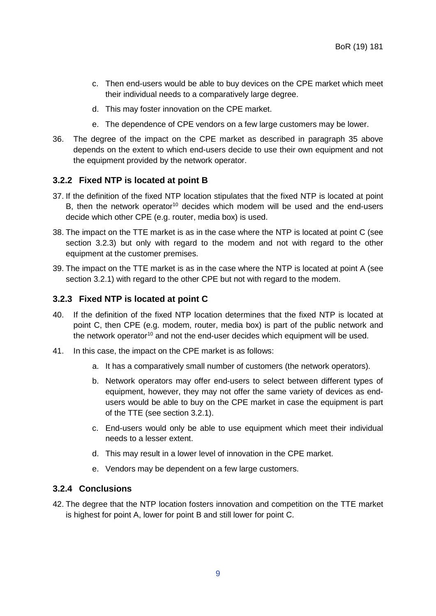- c. Then end-users would be able to buy devices on the CPE market which meet their individual needs to a comparatively large degree.
- d. This may foster innovation on the CPE market.
- e. The dependence of CPE vendors on a few large customers may be lower.
- 36. The degree of the impact on the CPE market as described in paragraph [35](#page-8-5) above depends on the extent to which end-users decide to use their own equipment and not the equipment provided by the network operator.

# <span id="page-9-0"></span>**3.2.2 Fixed NTP is located at point B**

- 37. If the definition of the fixed NTP location stipulates that the fixed NTP is located at point B, then the network operator<sup>10</sup> decides which modem will be used and the end-users decide which other CPE (e.g. router, media box) is used.
- 38. The impact on the TTE market is as in the case where the NTP is located at point C (see section [3.2.3\)](#page-9-1) but only with regard to the modem and not with regard to the other equipment at the customer premises.
- 39. The impact on the TTE market is as in the case where the NTP is located at point A (see section [3.2.1\)](#page-8-2) with regard to the other CPE but not with regard to the modem.

# <span id="page-9-1"></span>**3.2.3 Fixed NTP is located at point C**

- 40. If the definition of the fixed NTP location determines that the fixed NTP is located at point C, then CPE (e.g. modem, router, media box) is part of the public network and the network operator<sup>10</sup> and not the end-user decides which equipment will be used.
- 41. In this case, the impact on the CPE market is as follows:
	- a. It has a comparatively small number of customers (the network operators).
	- b. Network operators may offer end-users to select between different types of equipment, however, they may not offer the same variety of devices as endusers would be able to buy on the CPE market in case the equipment is part of the TTE (see section [3.2.1\)](#page-8-2).
	- c. End-users would only be able to use equipment which meet their individual needs to a lesser extent.
	- d. This may result in a lower level of innovation in the CPE market.
	- e. Vendors may be dependent on a few large customers.

# <span id="page-9-2"></span>**3.2.4 Conclusions**

42. The degree that the NTP location fosters innovation and competition on the TTE market is highest for point A, lower for point B and still lower for point C.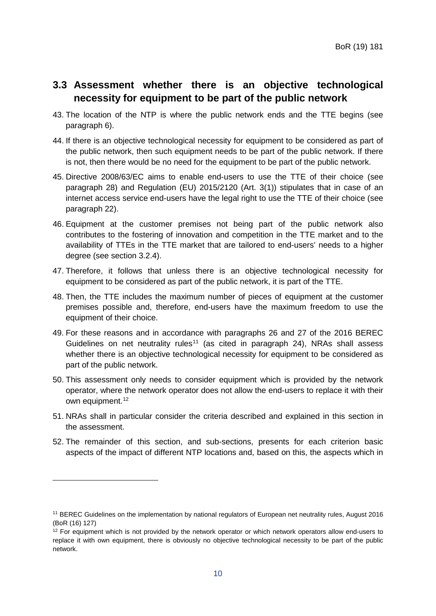# <span id="page-10-0"></span>**3.3 Assessment whether there is an objective technological necessity for equipment to be part of the public network**

- <span id="page-10-3"></span>43. The location of the NTP is where the public network ends and the TTE begins (see paragraph [6\)](#page-4-5).
- 44. If there is an objective technological necessity for equipment to be considered as part of the public network, then such equipment needs to be part of the public network. If there is not, then there would be no need for the equipment to be part of the public network.
- 45. Directive 2008/63/EC aims to enable end-users to use the TTE of their choice (see paragraph [28\)](#page-8-7) and Regulation (EU) 2015/2120 (Art. 3(1)) stipulates that in case of an internet access service end-users have the legal right to use the TTE of their choice (see paragraph [22\)](#page-7-4).
- 46. Equipment at the customer premises not being part of the public network also contributes to the fostering of innovation and competition in the TTE market and to the availability of TTEs in the TTE market that are tailored to end-users' needs to a higher degree (see section [3.2.4\)](#page-9-2).
- 47. Therefore, it follows that unless there is an objective technological necessity for equipment to be considered as part of the public network, it is part of the TTE.
- 48. Then, the TTE includes the maximum number of pieces of equipment at the customer premises possible and, therefore, end-users have the maximum freedom to use the equipment of their choice.
- 49. For these reasons and in accordance with paragraphs 26 and 27 of the 2016 BEREC Guidelines on net neutrality rules<sup>[11](#page-10-1)</sup> (as cited in paragraph [24\)](#page-7-5), NRAs shall assess whether there is an objective technological necessity for equipment to be considered as part of the public network.
- 50. This assessment only needs to consider equipment which is provided by the network operator, where the network operator does not allow the end-users to replace it with their own equipment.<sup>[12](#page-10-2)</sup>
- 51. NRAs shall in particular consider the criteria described and explained in this section in the assessment.
- 52. The remainder of this section, and sub-sections, presents for each criterion basic aspects of the impact of different NTP locations and, based on this, the aspects which in

<span id="page-10-1"></span><sup>11</sup> BEREC Guidelines on the implementation by national regulators of European net neutrality rules, August 2016 (BoR (16) 127)

<span id="page-10-2"></span><sup>&</sup>lt;sup>12</sup> For equipment which is not provided by the network operator or which network operators allow end-users to replace it with own equipment, there is obviously no objective technological necessity to be part of the public network.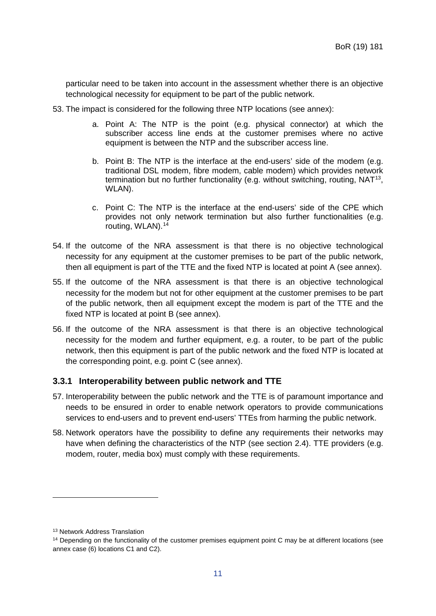particular need to be taken into account in the assessment whether there is an objective technological necessity for equipment to be part of the public network.

- <span id="page-11-4"></span>53. The impact is considered for the following three NTP locations (see annex):
	- a. Point A: The NTP is the point (e.g. physical connector) at which the subscriber access line ends at the customer premises where no active equipment is between the NTP and the subscriber access line.
	- b. Point B: The NTP is the interface at the end-users' side of the modem (e.g. traditional DSL modem, fibre modem, cable modem) which provides network termination but no further functionality (e.g. without switching, routing, NAT<sup>[13](#page-11-1)</sup>, WLAN).
	- c. Point C: The NTP is the interface at the end-users' side of the CPE which provides not only network termination but also further functionalities (e.g. routing, WLAN).[14](#page-11-2)
- 54. If the outcome of the NRA assessment is that there is no objective technological necessity for any equipment at the customer premises to be part of the public network, then all equipment is part of the TTE and the fixed NTP is located at point A (see annex).
- 55. If the outcome of the NRA assessment is that there is an objective technological necessity for the modem but not for other equipment at the customer premises to be part of the public network, then all equipment except the modem is part of the TTE and the fixed NTP is located at point B (see annex).
- <span id="page-11-3"></span>56. If the outcome of the NRA assessment is that there is an objective technological necessity for the modem and further equipment, e.g. a router, to be part of the public network, then this equipment is part of the public network and the fixed NTP is located at the corresponding point, e.g. point C (see annex).

# <span id="page-11-0"></span>**3.3.1 Interoperability between public network and TTE**

- 57. Interoperability between the public network and the TTE is of paramount importance and needs to be ensured in order to enable network operators to provide communications services to end-users and to prevent end-users' TTEs from harming the public network.
- 58. Network operators have the possibility to define any requirements their networks may have when defining the characteristics of the NTP (see section [2.4\)](#page-4-2). TTE providers (e.g. modem, router, media box) must comply with these requirements.

<span id="page-11-1"></span><sup>&</sup>lt;sup>13</sup> Network Address Translation

<span id="page-11-2"></span><sup>&</sup>lt;sup>14</sup> Depending on the functionality of the customer premises equipment point C may be at different locations (see annex case (6) locations C1 and C2).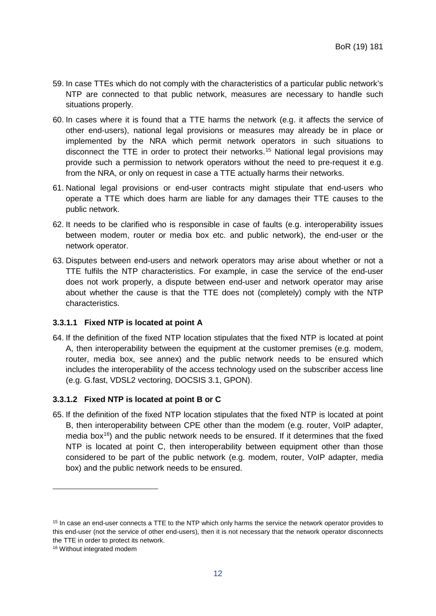- 59. In case TTEs which do not comply with the characteristics of a particular public network's NTP are connected to that public network, measures are necessary to handle such situations properly.
- 60. In cases where it is found that a TTE harms the network (e.g. it affects the service of other end-users), national legal provisions or measures may already be in place or implemented by the NRA which permit network operators in such situations to disconnect the TTE in order to protect their networks.[15](#page-12-0) National legal provisions may provide such a permission to network operators without the need to pre-request it e.g. from the NRA, or only on request in case a TTE actually harms their networks.
- 61. National legal provisions or end-user contracts might stipulate that end-users who operate a TTE which does harm are liable for any damages their TTE causes to the public network.
- 62. It needs to be clarified who is responsible in case of faults (e.g. interoperability issues between modem, router or media box etc. and public network), the end-user or the network operator.
- 63. Disputes between end-users and network operators may arise about whether or not a TTE fulfils the NTP characteristics. For example, in case the service of the end-user does not work properly, a dispute between end-user and network operator may arise about whether the cause is that the TTE does not (completely) comply with the NTP characteristics.

### **3.3.1.1 Fixed NTP is located at point A**

64. If the definition of the fixed NTP location stipulates that the fixed NTP is located at point A, then interoperability between the equipment at the customer premises (e.g. modem, router, media box, see annex) and the public network needs to be ensured which includes the interoperability of the access technology used on the subscriber access line (e.g. G.fast, VDSL2 vectoring, DOCSIS 3.1, GPON).

#### **3.3.1.2 Fixed NTP is located at point B or C**

65. If the definition of the fixed NTP location stipulates that the fixed NTP is located at point B, then interoperability between CPE other than the modem (e.g. router, VoIP adapter, media box $16$ ) and the public network needs to be ensured. If it determines that the fixed NTP is located at point C, then interoperability between equipment other than those considered to be part of the public network (e.g. modem, router, VoIP adapter, media box) and the public network needs to be ensured.

<span id="page-12-0"></span><sup>&</sup>lt;sup>15</sup> In case an end-user connects a TTE to the NTP which only harms the service the network operator provides to this end-user (not the service of other end-users), then it is not necessary that the network operator disconnects the TTE in order to protect its network.

<span id="page-12-1"></span><sup>16</sup> Without integrated modem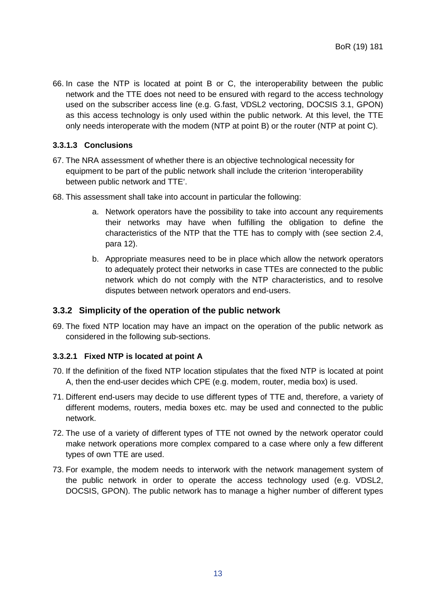66. In case the NTP is located at point B or C, the interoperability between the public network and the TTE does not need to be ensured with regard to the access technology used on the subscriber access line (e.g. G.fast, VDSL2 vectoring, DOCSIS 3.1, GPON) as this access technology is only used within the public network. At this level, the TTE only needs interoperate with the modem (NTP at point B) or the router (NTP at point C).

# **3.3.1.3 Conclusions**

- 67. The NRA assessment of whether there is an objective technological necessity for equipment to be part of the public network shall include the criterion 'interoperability between public network and TTE'.
- 68. This assessment shall take into account in particular the following:
	- a. Network operators have the possibility to take into account any requirements their networks may have when fulfilling the obligation to define the characteristics of the NTP that the TTE has to comply with (see section [2.4,](#page-4-2) para [12\)](#page-5-3).
	- b. Appropriate measures need to be in place which allow the network operators to adequately protect their networks in case TTEs are connected to the public network which do not comply with the NTP characteristics, and to resolve disputes between network operators and end-users.

# <span id="page-13-0"></span>**3.3.2 Simplicity of the operation of the public network**

69. The fixed NTP location may have an impact on the operation of the public network as considered in the following sub-sections.

# <span id="page-13-1"></span>**3.3.2.1 Fixed NTP is located at point A**

- 70. If the definition of the fixed NTP location stipulates that the fixed NTP is located at point A, then the end-user decides which CPE (e.g. modem, router, media box) is used.
- 71. Different end-users may decide to use different types of TTE and, therefore, a variety of different modems, routers, media boxes etc. may be used and connected to the public network.
- 72. The use of a variety of different types of TTE not owned by the network operator could make network operations more complex compared to a case where only a few different types of own TTE are used.
- 73. For example, the modem needs to interwork with the network management system of the public network in order to operate the access technology used (e.g. VDSL2, DOCSIS, GPON). The public network has to manage a higher number of different types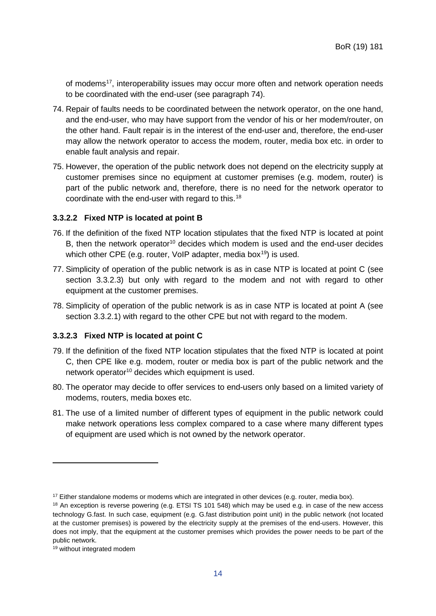of modems<sup>17</sup>, interoperability issues may occur more often and network operation needs to be coordinated with the end-user (see paragraph [74\)](#page-14-0).

- <span id="page-14-0"></span>74. Repair of faults needs to be coordinated between the network operator, on the one hand, and the end-user, who may have support from the vendor of his or her modem/router, on the other hand. Fault repair is in the interest of the end-user and, therefore, the end-user may allow the network operator to access the modem, router, media box etc. in order to enable fault analysis and repair.
- 75. However, the operation of the public network does not depend on the electricity supply at customer premises since no equipment at customer premises (e.g. modem, router) is part of the public network and, therefore, there is no need for the network operator to coordinate with the end-user with regard to this.[18](#page-14-3)

#### <span id="page-14-5"></span>**3.3.2.2 Fixed NTP is located at point B**

- 76. If the definition of the fixed NTP location stipulates that the fixed NTP is located at point B, then the network operator<sup>10</sup> decides which modem is used and the end-user decides which other CPE (e.g. router, VoIP adapter, media box<sup>[19](#page-14-4)</sup>) is used.
- 77. Simplicity of operation of the public network is as in case NTP is located at point C (see section [3.3.2.3\)](#page-14-1) but only with regard to the modem and not with regard to other equipment at the customer premises.
- 78. Simplicity of operation of the public network is as in case NTP is located at point A (see section [3.3.2.1\)](#page-13-1) with regard to the other CPE but not with regard to the modem.

#### <span id="page-14-1"></span>**3.3.2.3 Fixed NTP is located at point C**

- 79. If the definition of the fixed NTP location stipulates that the fixed NTP is located at point C, then CPE like e.g. modem, router or media box is part of the public network and the network operator<sup>10</sup> decides which equipment is used.
- 80. The operator may decide to offer services to end-users only based on a limited variety of modems, routers, media boxes etc.
- 81. The use of a limited number of different types of equipment in the public network could make network operations less complex compared to a case where many different types of equipment are used which is not owned by the network operator.

<span id="page-14-2"></span><sup>&</sup>lt;sup>17</sup> Either standalone modems or modems which are integrated in other devices (e.g. router, media box).

<span id="page-14-3"></span><sup>&</sup>lt;sup>18</sup> An exception is reverse powering (e.g. ETSI TS 101 548) which may be used e.g. in case of the new access technology G.fast. In such case, equipment (e.g. G.fast distribution point unit) in the public network (not located at the customer premises) is powered by the electricity supply at the premises of the end-users. However, this does not imply, that the equipment at the customer premises which provides the power needs to be part of the public network.

<span id="page-14-4"></span><sup>19</sup> without integrated modem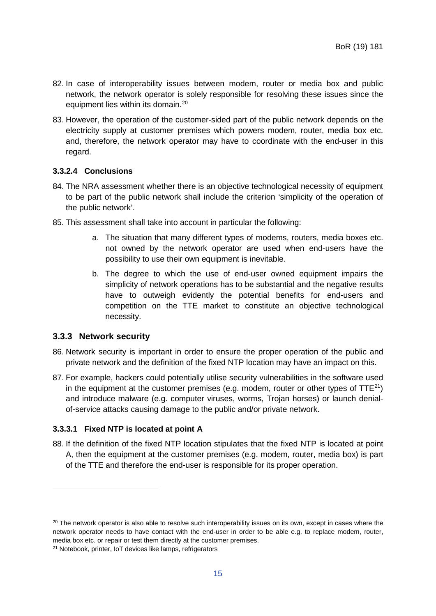- 82. In case of interoperability issues between modem, router or media box and public network, the network operator is solely responsible for resolving these issues since the equipment lies within its domain.<sup>[20](#page-15-1)</sup>
- 83. However, the operation of the customer-sided part of the public network depends on the electricity supply at customer premises which powers modem, router, media box etc. and, therefore, the network operator may have to coordinate with the end-user in this regard.

# **3.3.2.4 Conclusions**

- 84. The NRA assessment whether there is an objective technological necessity of equipment to be part of the public network shall include the criterion 'simplicity of the operation of the public network'.
- 85. This assessment shall take into account in particular the following:
	- a. The situation that many different types of modems, routers, media boxes etc. not owned by the network operator are used when end-users have the possibility to use their own equipment is inevitable.
	- b. The degree to which the use of end-user owned equipment impairs the simplicity of network operations has to be substantial and the negative results have to outweigh evidently the potential benefits for end-users and competition on the TTE market to constitute an objective technological necessity.

### <span id="page-15-0"></span>**3.3.3 Network security**

-

- 86. Network security is important in order to ensure the proper operation of the public and private network and the definition of the fixed NTP location may have an impact on this.
- 87. For example, hackers could potentially utilise security vulnerabilities in the software used in the equipment at the customer premises (e.g. modem, router or other types of  $TTE^{21}$  $TTE^{21}$  $TTE^{21}$ ) and introduce malware (e.g. computer viruses, worms, Trojan horses) or launch denialof-service attacks causing damage to the public and/or private network.

### <span id="page-15-3"></span>**3.3.3.1 Fixed NTP is located at point A**

88. If the definition of the fixed NTP location stipulates that the fixed NTP is located at point A, then the equipment at the customer premises (e.g. modem, router, media box) is part of the TTE and therefore the end-user is responsible for its proper operation.

<span id="page-15-1"></span> $20$  The network operator is also able to resolve such interoperability issues on its own, except in cases where the network operator needs to have contact with the end-user in order to be able e.g. to replace modem, router, media box etc. or repair or test them directly at the customer premises.

<span id="page-15-2"></span><sup>&</sup>lt;sup>21</sup> Notebook, printer, IoT devices like lamps, refrigerators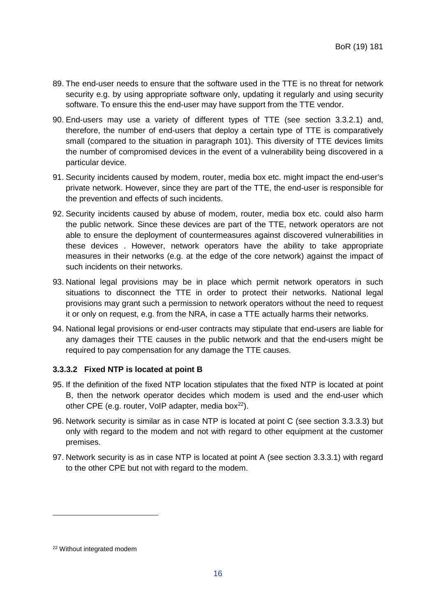- 89. The end-user needs to ensure that the software used in the TTE is no threat for network security e.g. by using appropriate software only, updating it regularly and using security software. To ensure this the end-user may have support from the TTE vendor.
- <span id="page-16-1"></span>90. End-users may use a variety of different types of TTE (see section [3.3.2.1\)](#page-13-1) and, therefore, the number of end-users that deploy a certain type of TTE is comparatively small (compared to the situation in paragraph [101\)](#page-17-0). This diversity of TTE devices limits the number of compromised devices in the event of a vulnerability being discovered in a particular device.
- 91. Security incidents caused by modem, router, media box etc. might impact the end-user's private network. However, since they are part of the TTE, the end-user is responsible for the prevention and effects of such incidents.
- 92. Security incidents caused by abuse of modem, router, media box etc. could also harm the public network. Since these devices are part of the TTE, network operators are not able to ensure the deployment of countermeasures against discovered vulnerabilities in these devices . However, network operators have the ability to take appropriate measures in their networks (e.g. at the edge of the core network) against the impact of such incidents on their networks.
- 93. National legal provisions may be in place which permit network operators in such situations to disconnect the TTE in order to protect their networks. National legal provisions may grant such a permission to network operators without the need to request it or only on request, e.g. from the NRA, in case a TTE actually harms their networks.
- 94. National legal provisions or end-user contracts may stipulate that end-users are liable for any damages their TTE causes in the public network and that the end-users might be required to pay compensation for any damage the TTE causes.

# **3.3.3.2 Fixed NTP is located at point B**

- 95. If the definition of the fixed NTP location stipulates that the fixed NTP is located at point B, then the network operator decides which modem is used and the end-user which other CPE (e.g. router, VoIP adapter, media box $^{22}$ ).
- 96. Network security is similar as in case NTP is located at point C (see section [3.3.3.3\)](#page-17-1) but only with regard to the modem and not with regard to other equipment at the customer premises.
- 97. Network security is as in case NTP is located at point A (see section [3.3.3.1\)](#page-15-3) with regard to the other CPE but not with regard to the modem.

<span id="page-16-0"></span><sup>22</sup> Without integrated modem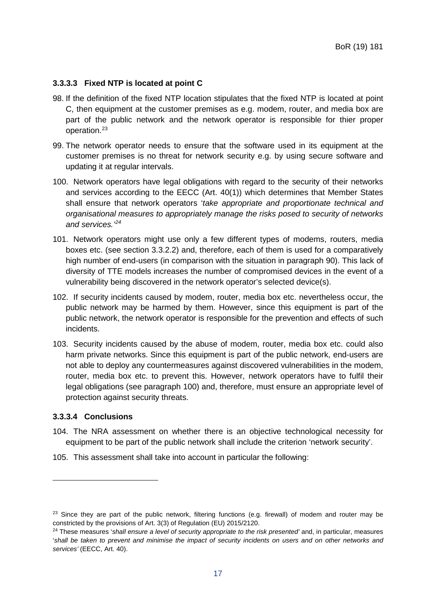#### <span id="page-17-1"></span>**3.3.3.3 Fixed NTP is located at point C**

- 98. If the definition of the fixed NTP location stipulates that the fixed NTP is located at point C, then equipment at the customer premises as e.g. modem, router, and media box are part of the public network and the network operator is responsible for thier proper operation.[23](#page-17-3)
- 99. The network operator needs to ensure that the software used in its equipment at the customer premises is no threat for network security e.g. by using secure software and updating it at regular intervals.
- <span id="page-17-2"></span>100. Network operators have legal obligations with regard to the security of their networks and services according to the EECC (Art. 40(1)) which determines that Member States shall ensure that network operators '*take appropriate and proportionate technical and organisational measures to appropriately manage the risks posed to security of networks and services.' [24](#page-17-4)*
- <span id="page-17-0"></span>101. Network operators might use only a few different types of modems, routers, media boxes etc. (see section [3.3.2.2\)](#page-14-5) and, therefore, each of them is used for a comparatively high number of end-users (in comparison with the situation in paragraph [90\)](#page-16-1). This lack of diversity of TTE models increases the number of compromised devices in the event of a vulnerability being discovered in the network operator's selected device(s).
- 102. If security incidents caused by modem, router, media box etc. nevertheless occur, the public network may be harmed by them. However, since this equipment is part of the public network, the network operator is responsible for the prevention and effects of such incidents.
- 103. Security incidents caused by the abuse of modem, router, media box etc. could also harm private networks. Since this equipment is part of the public network, end-users are not able to deploy any countermeasures against discovered vulnerabilities in the modem, router, media box etc. to prevent this. However, network operators have to fulfil their legal obligations (see paragraph [100\)](#page-17-2) and, therefore, must ensure an appropriate level of protection against security threats.

### **3.3.3.4 Conclusions**

- 104. The NRA assessment on whether there is an objective technological necessity for equipment to be part of the public network shall include the criterion 'network security'.
- 105. This assessment shall take into account in particular the following:

<span id="page-17-3"></span><sup>&</sup>lt;sup>23</sup> Since they are part of the public network, filtering functions (e.g. firewall) of modem and router may be constricted by the provisions of Art. 3(3) of Regulation (EU) 2015/2120.

<span id="page-17-4"></span><sup>24</sup> These measures '*shall ensure a level of security appropriate to the risk presented'* and, in particular, measures 'shall be taken to prevent and minimise the impact of security incidents on users and on other networks and *services'* (EECC, Art. 40).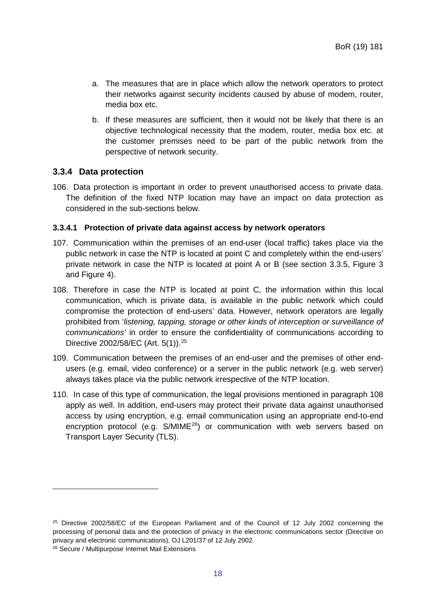- a. The measures that are in place which allow the network operators to protect their networks against security incidents caused by abuse of modem, router, media box etc.
- b. If these measures are sufficient, then it would not be likely that there is an objective technological necessity that the modem, router, media box etc. at the customer premises need to be part of the public network from the perspective of network security.

### <span id="page-18-0"></span>**3.3.4 Data protection**

106. Data protection is important in order to prevent unauthorised access to private data. The definition of the fixed NTP location may have an impact on data protection as considered in the sub-sections below.

#### <span id="page-18-4"></span>**3.3.4.1 Protection of private data against access by network operators**

- 107. Communication within the premises of an end-user (local traffic) takes place via the public network in case the NTP is located at point C and completely within the end-users' private network in case the NTP is located at point A or B (see section [3.3.5,](#page-19-0) [Figure 3](#page-20-0) and [Figure 4\)](#page-21-1).
- <span id="page-18-1"></span>108. Therefore in case the NTP is located at point C, the information within this local communication, which is private data, is available in the public network which could compromise the protection of end-users' data. However, network operators are legally prohibited from '*listening, tapping, storage or other kinds of interception or surveillance of communications'* in order to ensure the confidentiality of communications according to Directive 2002/58/EC (Art. 5(1)).<sup>[25](#page-18-2)</sup>
- 109. Communication between the premises of an end-user and the premises of other endusers (e.g. email, video conference) or a server in the public network (e.g. web server) always takes place via the public network irrespective of the NTP location.
- 110. In case of this type of communication, the legal provisions mentioned in paragraph [108](#page-18-1) apply as well. In addition, end-users may protect their private data against unauthorised access by using encryption, e.g. email communication using an appropriate end-to-end encryption protocol (e.g. S/MIME<sup>26</sup>) or communication with web servers based on Transport Layer Security (TLS).

<span id="page-18-2"></span><sup>&</sup>lt;sup>25</sup> Directive 2002/58/EC of the European Parliament and of the Council of 12 July 2002 concerning the processing of personal data and the protection of privacy in the electronic communications sector (Directive on privacy and electronic communications), OJ L201/37 of 12 July 2002.

<span id="page-18-3"></span><sup>26</sup> Secure / Multipurpose Internet Mail Extensions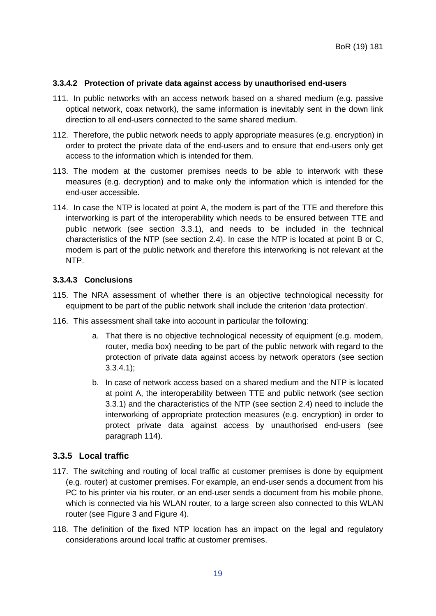### **3.3.4.2 Protection of private data against access by unauthorised end-users**

- 111. In public networks with an access network based on a shared medium (e.g. passive optical network, coax network), the same information is inevitably sent in the down link direction to all end-users connected to the same shared medium.
- 112. Therefore, the public network needs to apply appropriate measures (e.g. encryption) in order to protect the private data of the end-users and to ensure that end-users only get access to the information which is intended for them.
- 113. The modem at the customer premises needs to be able to interwork with these measures (e.g. decryption) and to make only the information which is intended for the end-user accessible.
- <span id="page-19-1"></span>114. In case the NTP is located at point A, the modem is part of the TTE and therefore this interworking is part of the interoperability which needs to be ensured between TTE and public network (see section [3.3.1\)](#page-11-0), and needs to be included in the technical characteristics of the NTP (see section [2.4\)](#page-4-2). In case the NTP is located at point B or C, modem is part of the public network and therefore this interworking is not relevant at the NTP.

# **3.3.4.3 Conclusions**

- 115. The NRA assessment of whether there is an objective technological necessity for equipment to be part of the public network shall include the criterion 'data protection'.
- 116. This assessment shall take into account in particular the following:
	- a. That there is no objective technological necessity of equipment (e.g. modem, router, media box) needing to be part of the public network with regard to the protection of private data against access by network operators (see section [3.3.4.1\)](#page-18-4);
	- b. In case of network access based on a shared medium and the NTP is located at point A, the interoperability between TTE and public network (see section [3.3.1\)](#page-11-0) and the characteristics of the NTP (see section [2.4\)](#page-4-2) need to include the interworking of appropriate protection measures (e.g. encryption) in order to protect private data against access by unauthorised end-users (see paragraph [114\)](#page-19-1).

# <span id="page-19-0"></span>**3.3.5 Local traffic**

- 117. The switching and routing of local traffic at customer premises is done by equipment (e.g. router) at customer premises. For example, an end-user sends a document from his PC to his printer via his router, or an end-user sends a document from his mobile phone, which is connected via his WLAN router, to a large screen also connected to this WLAN router (see [Figure 3](#page-20-0) and [Figure 4\)](#page-21-1).
- 118. The definition of the fixed NTP location has an impact on the legal and regulatory considerations around local traffic at customer premises.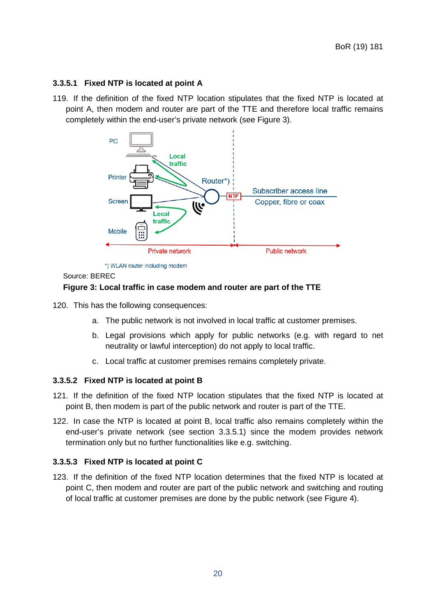### <span id="page-20-1"></span>**3.3.5.1 Fixed NTP is located at point A**

119. If the definition of the fixed NTP location stipulates that the fixed NTP is located at point A, then modem and router are part of the TTE and therefore local traffic remains completely within the end-user's private network (see [Figure 3\)](#page-20-0).



\*) WLAN router including modem

#### Source: BEREC

### <span id="page-20-0"></span>**Figure 3: Local traffic in case modem and router are part of the TTE**

- 120. This has the following consequences:
	- a. The public network is not involved in local traffic at customer premises.
	- b. Legal provisions which apply for public networks (e.g. with regard to net neutrality or lawful interception) do not apply to local traffic.
	- c. Local traffic at customer premises remains completely private.

### <span id="page-20-3"></span>**3.3.5.2 Fixed NTP is located at point B**

- 121. If the definition of the fixed NTP location stipulates that the fixed NTP is located at point B, then modem is part of the public network and router is part of the TTE.
- 122. In case the NTP is located at point B, local traffic also remains completely within the end-user's private network (see section [3.3.5.1\)](#page-20-1) since the modem provides network termination only but no further functionalities like e.g. switching.

### <span id="page-20-2"></span>**3.3.5.3 Fixed NTP is located at point C**

123. If the definition of the fixed NTP location determines that the fixed NTP is located at point C, then modem and router are part of the public network and switching and routing of local traffic at customer premises are done by the public network (see [Figure 4\)](#page-21-1).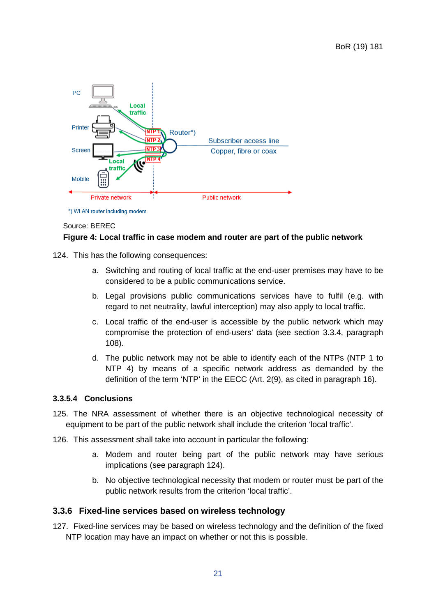

#### \*) WLAN router including modem

#### Source: BEREC

### <span id="page-21-1"></span>**Figure 4: Local traffic in case modem and router are part of the public network**

- <span id="page-21-2"></span>124. This has the following consequences:
	- a. Switching and routing of local traffic at the end-user premises may have to be considered to be a public communications service.
	- b. Legal provisions public communications services have to fulfil (e.g. with regard to net neutrality, lawful interception) may also apply to local traffic.
	- c. Local traffic of the end-user is accessible by the public network which may compromise the protection of end-users' data (see section [3.3.4,](#page-18-0) paragraph [108\)](#page-18-1).
	- d. The public network may not be able to identify each of the NTPs (NTP 1 to NTP 4) by means of a specific network address as demanded by the definition of the term 'NTP' in the EECC (Art. 2(9), as cited in paragraph [16\)](#page-6-4).

### **3.3.5.4 Conclusions**

- 125. The NRA assessment of whether there is an objective technological necessity of equipment to be part of the public network shall include the criterion 'local traffic'.
- 126. This assessment shall take into account in particular the following:
	- a. Modem and router being part of the public network may have serious implications (see paragraph [124\)](#page-21-2).
	- b. No objective technological necessity that modem or router must be part of the public network results from the criterion 'local traffic'.

### <span id="page-21-0"></span>**3.3.6 Fixed-line services based on wireless technology**

127. Fixed-line services may be based on wireless technology and the definition of the fixed NTP location may have an impact on whether or not this is possible.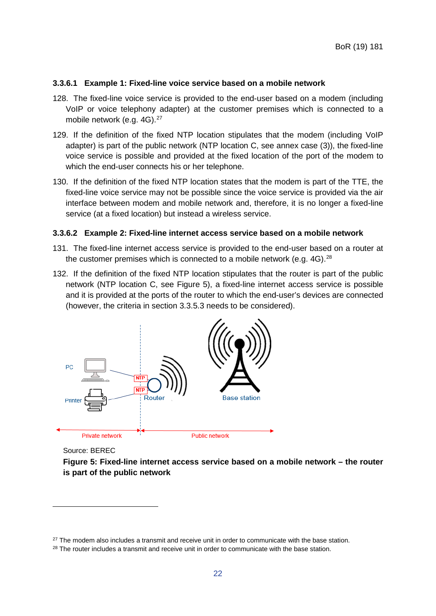#### **3.3.6.1 Example 1: Fixed-line voice service based on a mobile network**

- 128. The fixed-line voice service is provided to the end-user based on a modem (including VoIP or voice telephony adapter) at the customer premises which is connected to a mobile network (e.g. 4G).<sup>[27](#page-22-1)</sup>
- 129. If the definition of the fixed NTP location stipulates that the modem (including VoIP adapter) is part of the public network (NTP location C, see annex case (3)), the fixed-line voice service is possible and provided at the fixed location of the port of the modem to which the end-user connects his or her telephone.
- 130. If the definition of the fixed NTP location states that the modem is part of the TTE, the fixed-line voice service may not be possible since the voice service is provided via the air interface between modem and mobile network and, therefore, it is no longer a fixed-line service (at a fixed location) but instead a wireless service.

#### **3.3.6.2 Example 2: Fixed-line internet access service based on a mobile network**

- 131. The fixed-line internet access service is provided to the end-user based on a router at the customer premises which is connected to a mobile network (e.g.  $4G$ ).<sup>[28](#page-22-2)</sup>
- 132. If the definition of the fixed NTP location stipulates that the router is part of the public network (NTP location C, see [Figure 5\)](#page-22-0), a fixed-line internet access service is possible and it is provided at the ports of the router to which the end-user's devices are connected (however, the criteria in section [3.3.5.3](#page-20-2) needs to be considered).



Source: BEREC

-

<span id="page-22-0"></span>**Figure 5: Fixed-line internet access service based on a mobile network – the router is part of the public network**

<span id="page-22-1"></span> $27$  The modem also includes a transmit and receive unit in order to communicate with the base station.

<span id="page-22-2"></span><sup>&</sup>lt;sup>28</sup> The router includes a transmit and receive unit in order to communicate with the base station.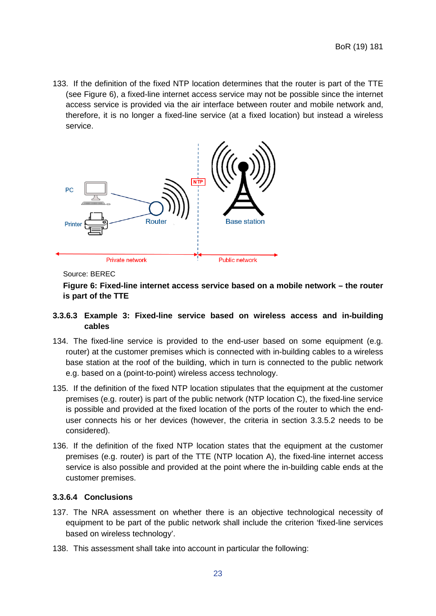133. If the definition of the fixed NTP location determines that the router is part of the TTE (see [Figure 6\)](#page-23-0), a fixed-line internet access service may not be possible since the internet access service is provided via the air interface between router and mobile network and, therefore, it is no longer a fixed-line service (at a fixed location) but instead a wireless service.



#### Source: BEREC

# <span id="page-23-0"></span>**Figure 6: Fixed-line internet access service based on a mobile network – the router is part of the TTE**

### **3.3.6.3 Example 3: Fixed-line service based on wireless access and in-building cables**

- 134. The fixed-line service is provided to the end-user based on some equipment (e.g. router) at the customer premises which is connected with in-building cables to a wireless base station at the roof of the building, which in turn is connected to the public network e.g. based on a (point-to-point) wireless access technology.
- 135. If the definition of the fixed NTP location stipulates that the equipment at the customer premises (e.g. router) is part of the public network (NTP location C), the fixed-line service is possible and provided at the fixed location of the ports of the router to which the enduser connects his or her devices (however, the criteria in section [3.3.5.2](#page-20-3) needs to be considered).
- 136. If the definition of the fixed NTP location states that the equipment at the customer premises (e.g. router) is part of the TTE (NTP location A), the fixed-line internet access service is also possible and provided at the point where the in-building cable ends at the customer premises.

#### **3.3.6.4 Conclusions**

- 137. The NRA assessment on whether there is an objective technological necessity of equipment to be part of the public network shall include the criterion 'fixed-line services based on wireless technology'.
- 138. This assessment shall take into account in particular the following: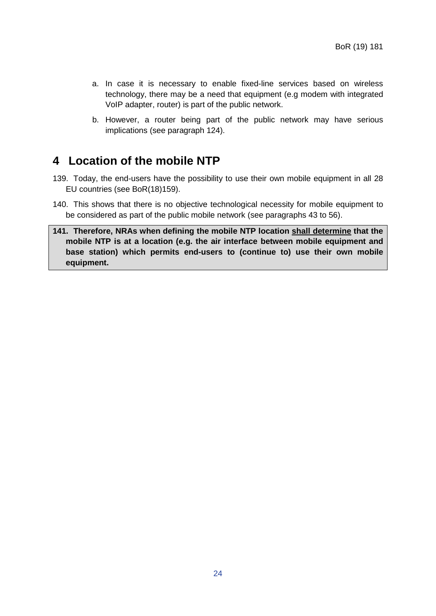- a. In case it is necessary to enable fixed-line services based on wireless technology, there may be a need that equipment (e.g modem with integrated VoIP adapter, router) is part of the public network.
- b. However, a router being part of the public network may have serious implications (see paragraph [124\)](#page-21-2).

# <span id="page-24-0"></span>**4 Location of the mobile NTP**

- 139. Today, the end-users have the possibility to use their own mobile equipment in all 28 EU countries (see BoR(18)159).
- 140. This shows that there is no objective technological necessity for mobile equipment to be considered as part of the public mobile network (see paragraphs [43](#page-10-3) to [56\)](#page-11-3).
- **141. Therefore, NRAs when defining the mobile NTP location shall determine that the mobile NTP is at a location (e.g. the air interface between mobile equipment and base station) which permits end-users to (continue to) use their own mobile equipment.**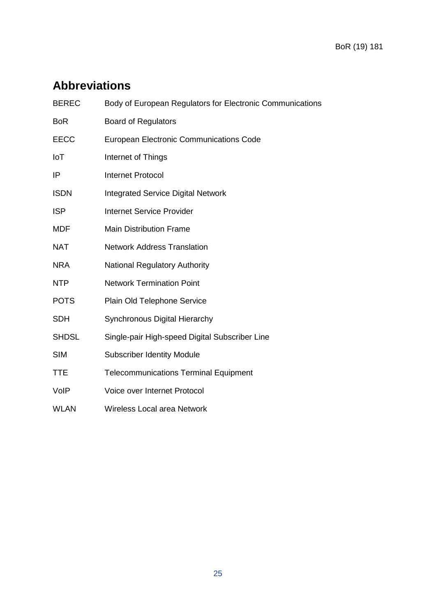# <span id="page-25-0"></span>**Abbreviations**

| <b>BEREC</b> | Body of European Regulators for Electronic Communications |
|--------------|-----------------------------------------------------------|
| <b>BoR</b>   | <b>Board of Regulators</b>                                |
| <b>EECC</b>  | <b>European Electronic Communications Code</b>            |
| IoT          | Internet of Things                                        |
| IP           | <b>Internet Protocol</b>                                  |
| <b>ISDN</b>  | <b>Integrated Service Digital Network</b>                 |
| <b>ISP</b>   | <b>Internet Service Provider</b>                          |
| <b>MDF</b>   | <b>Main Distribution Frame</b>                            |
| <b>NAT</b>   | <b>Network Address Translation</b>                        |
| <b>NRA</b>   | <b>National Regulatory Authority</b>                      |
| <b>NTP</b>   | <b>Network Termination Point</b>                          |
| <b>POTS</b>  | Plain Old Telephone Service                               |
| <b>SDH</b>   | <b>Synchronous Digital Hierarchy</b>                      |
| <b>SHDSL</b> | Single-pair High-speed Digital Subscriber Line            |
| <b>SIM</b>   | <b>Subscriber Identity Module</b>                         |
| <b>TTE</b>   | <b>Telecommunications Terminal Equipment</b>              |
| VoIP         | Voice over Internet Protocol                              |
| <b>WLAN</b>  | <b>Wireless Local area Network</b>                        |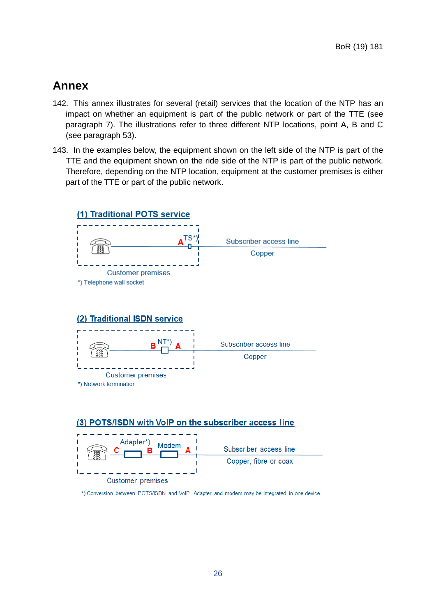# <span id="page-26-0"></span>**Annex**

- 142. This annex illustrates for several (retail) services that the location of the NTP has an impact on whether an equipment is part of the public network or part of the TTE (see paragraph [7\)](#page-4-6). The illustrations refer to three different NTP locations, point A, B and C (see paragraph [53\)](#page-11-4).
- 143. In the examples below, the equipment shown on the left side of the NTP is part of the TTE and the equipment shown on the ride side of the NTP is part of the public network. Therefore, depending on the NTP location, equipment at the customer premises is either part of the TTE or part of the public network.







\*) Conversion between POTS/ISDN and VoIP. Adapter and modem may be integrated in one device.